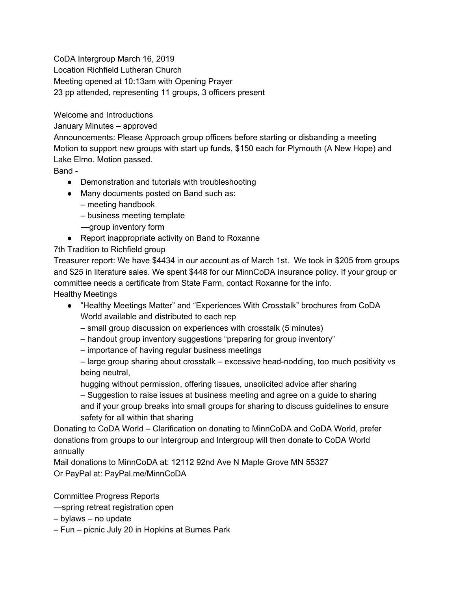CoDA Intergroup March 16, 2019

Location Richfield Lutheran Church

Meeting opened at 10:13am with Opening Prayer

23 pp attended, representing 11 groups, 3 officers present

Welcome and Introductions

January Minutes – approved

Announcements: Please Approach group officers before starting or disbanding a meeting Motion to support new groups with start up funds, \$150 each for Plymouth (A New Hope) and Lake Elmo. Motion passed.

Band -

- Demonstration and tutorials with troubleshooting
- Many documents posted on Band such as:
	- meeting handbook
	- business meeting template
	- —group inventory form
- Report inappropriate activity on Band to Roxanne

7th Tradition to Richfield group

Treasurer report: We have \$4434 in our account as of March 1st. We took in \$205 from groups and \$25 in literature sales. We spent \$448 for our MinnCoDA insurance policy. If your group or committee needs a certificate from State Farm, contact Roxanne for the info. Healthy Meetings

- "Healthy Meetings Matter" and "Experiences With Crosstalk" brochures from CoDA World available and distributed to each rep
	- small group discussion on experiences with crosstalk (5 minutes)
	- handout group inventory suggestions "preparing for group inventory"
	- importance of having regular business meetings

– large group sharing about crosstalk – excessive head-nodding, too much positivity vs being neutral,

hugging without permission, offering tissues, unsolicited advice after sharing – Suggestion to raise issues at business meeting and agree on a guide to sharing and if your group breaks into small groups for sharing to discuss guidelines to ensure safety for all within that sharing

Donating to CoDA World – Clarification on donating to MinnCoDA and CoDA World, prefer donations from groups to our Intergroup and Intergroup will then donate to CoDA World annually

Mail donations to MinnCoDA at: 12112 92nd Ave N Maple Grove MN 55327 Or PayPal at: PayPal.me/MinnCoDA

Committee Progress Reports

—spring retreat registration open

– bylaws – no update

– Fun – picnic July 20 in Hopkins at Burnes Park